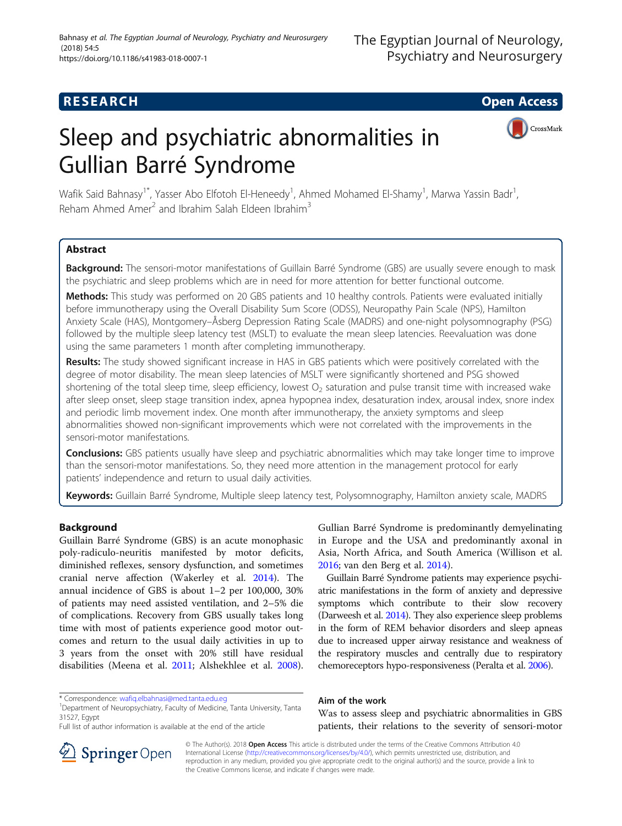## **RESEARCH CHE Open Access**

# Sleep and psychiatric abnormalities in Gullian Barré Syndrome



Wafik Said Bahnasy<sup>1\*</sup>, Yasser Abo Elfotoh El-Heneedy<sup>1</sup>, Ahmed Mohamed El-Shamy<sup>1</sup>, Marwa Yassin Badr<sup>1</sup> , Reham Ahmed Amer<sup>2</sup> and Ibrahim Salah Eldeen Ibrahim<sup>3</sup>

## Abstract

Background: The sensori-motor manifestations of Guillain Barré Syndrome (GBS) are usually severe enough to mask the psychiatric and sleep problems which are in need for more attention for better functional outcome.

Methods: This study was performed on 20 GBS patients and 10 healthy controls. Patients were evaluated initially before immunotherapy using the Overall Disability Sum Score (ODSS), Neuropathy Pain Scale (NPS), Hamilton Anxiety Scale (HAS), Montgomery–Åsberg Depression Rating Scale (MADRS) and one-night polysomnography (PSG) followed by the multiple sleep latency test (MSLT) to evaluate the mean sleep latencies. Reevaluation was done using the same parameters 1 month after completing immunotherapy.

Results: The study showed significant increase in HAS in GBS patients which were positively correlated with the degree of motor disability. The mean sleep latencies of MSLT were significantly shortened and PSG showed shortening of the total sleep time, sleep efficiency, lowest  $O<sub>2</sub>$  saturation and pulse transit time with increased wake after sleep onset, sleep stage transition index, apnea hypopnea index, desaturation index, arousal index, snore index and periodic limb movement index. One month after immunotherapy, the anxiety symptoms and sleep abnormalities showed non-significant improvements which were not correlated with the improvements in the sensori-motor manifestations.

**Conclusions:** GBS patients usually have sleep and psychiatric abnormalities which may take longer time to improve than the sensori-motor manifestations. So, they need more attention in the management protocol for early patients' independence and return to usual daily activities.

Keywords: Guillain Barré Syndrome, Multiple sleep latency test, Polysomnography, Hamilton anxiety scale, MADRS

## Background

Guillain Barré Syndrome (GBS) is an acute monophasic poly-radiculo-neuritis manifested by motor deficits, diminished reflexes, sensory dysfunction, and sometimes cranial nerve affection (Wakerley et al. [2014](#page-6-0)). The annual incidence of GBS is about 1–2 per 100,000, 30% of patients may need assisted ventilation, and 2–5% die of complications. Recovery from GBS usually takes long time with most of patients experience good motor outcomes and return to the usual daily activities in up to 3 years from the onset with 20% still have residual disabilities (Meena et al. [2011](#page-6-0); Alshekhlee et al. [2008](#page-6-0)).

Gullian Barré Syndrome is predominantly demyelinating in Europe and the USA and predominantly axonal in Asia, North Africa, and South America (Willison et al. [2016](#page-6-0); van den Berg et al. [2014](#page-6-0)).

Guillain Barré Syndrome patients may experience psychiatric manifestations in the form of anxiety and depressive symptoms which contribute to their slow recovery (Darweesh et al. [2014](#page-6-0)). They also experience sleep problems in the form of REM behavior disorders and sleep apneas due to increased upper airway resistance and weakness of the respiratory muscles and centrally due to respiratory chemoreceptors hypo-responsiveness (Peralta et al. [2006\)](#page-6-0).

## Aim of the work

Was to assess sleep and psychiatric abnormalities in GBS patients, their relations to the severity of sensori-motor



© The Author(s). 2018 Open Access This article is distributed under the terms of the Creative Commons Attribution 4.0 International License ([http://creativecommons.org/licenses/by/4.0/\)](http://creativecommons.org/licenses/by/4.0/), which permits unrestricted use, distribution, and reproduction in any medium, provided you give appropriate credit to the original author(s) and the source, provide a link to the Creative Commons license, and indicate if changes were made.

<sup>\*</sup> Correspondence: [wafiq.elbahnasi@med.tanta.edu.eg](mailto:wafiq.elbahnasi@med.tanta.edu.eg) <sup>1</sup>

<sup>&</sup>lt;sup>1</sup>Department of Neuropsychiatry, Faculty of Medicine, Tanta University, Tanta 31527, Egypt

Full list of author information is available at the end of the article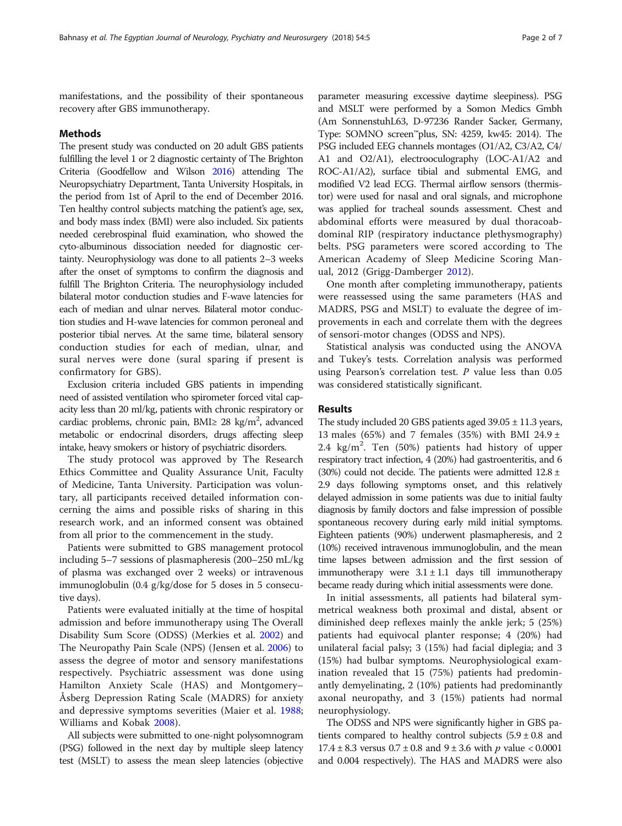manifestations, and the possibility of their spontaneous recovery after GBS immunotherapy.

#### Methods

The present study was conducted on 20 adult GBS patients fulfilling the level 1 or 2 diagnostic certainty of The Brighton Criteria (Goodfellow and Wilson [2016\)](#page-6-0) attending The Neuropsychiatry Department, Tanta University Hospitals, in the period from 1st of April to the end of December 2016. Ten healthy control subjects matching the patient's age, sex, and body mass index (BMI) were also included. Six patients needed cerebrospinal fluid examination, who showed the cyto-albuminous dissociation needed for diagnostic certainty. Neurophysiology was done to all patients 2–3 weeks after the onset of symptoms to confirm the diagnosis and fulfill The Brighton Criteria. The neurophysiology included bilateral motor conduction studies and F-wave latencies for each of median and ulnar nerves. Bilateral motor conduction studies and H-wave latencies for common peroneal and posterior tibial nerves. At the same time, bilateral sensory conduction studies for each of median, ulnar, and sural nerves were done (sural sparing if present is confirmatory for GBS).

Exclusion criteria included GBS patients in impending need of assisted ventilation who spirometer forced vital capacity less than 20 ml/kg, patients with chronic respiratory or cardiac problems, chronic pain, BMI≥ 28 kg/m<sup>2</sup>, advanced metabolic or endocrinal disorders, drugs affecting sleep intake, heavy smokers or history of psychiatric disorders.

The study protocol was approved by The Research Ethics Committee and Quality Assurance Unit, Faculty of Medicine, Tanta University. Participation was voluntary, all participants received detailed information concerning the aims and possible risks of sharing in this research work, and an informed consent was obtained from all prior to the commencement in the study.

Patients were submitted to GBS management protocol including 5–7 sessions of plasmapheresis (200–250 mL/kg of plasma was exchanged over 2 weeks) or intravenous immunoglobulin (0.4 g/kg/dose for 5 doses in 5 consecutive days).

Patients were evaluated initially at the time of hospital admission and before immunotherapy using The Overall Disability Sum Score (ODSS) (Merkies et al. [2002](#page-6-0)) and The Neuropathy Pain Scale (NPS) (Jensen et al. [2006\)](#page-6-0) to assess the degree of motor and sensory manifestations respectively. Psychiatric assessment was done using Hamilton Anxiety Scale (HAS) and Montgomery– Åsberg Depression Rating Scale (MADRS) for anxiety and depressive symptoms severities (Maier et al. [1988](#page-6-0); Williams and Kobak [2008\)](#page-6-0).

All subjects were submitted to one-night polysomnogram (PSG) followed in the next day by multiple sleep latency test (MSLT) to assess the mean sleep latencies (objective

parameter measuring excessive daytime sleepiness). PSG and MSLT were performed by a Somon Medics Gmbh (Am SonnenstuhL63, D-97236 Rander Sacker, Germany, Type: SOMNO screen™plus, SN: 4259, kw45: 2014). The PSG included EEG channels montages (O1/A2, C3/A2, C4/ A1 and O2/A1), electrooculography (LOC-A1/A2 and ROC-A1/A2), surface tibial and submental EMG, and modified V2 lead ECG. Thermal airflow sensors (thermistor) were used for nasal and oral signals, and microphone was applied for tracheal sounds assessment. Chest and abdominal efforts were measured by dual thoracoabdominal RIP (respiratory inductance plethysmography) belts. PSG parameters were scored according to The American Academy of Sleep Medicine Scoring Manual, 2012 (Grigg-Damberger [2012](#page-6-0)).

One month after completing immunotherapy, patients were reassessed using the same parameters (HAS and MADRS, PSG and MSLT) to evaluate the degree of improvements in each and correlate them with the degrees of sensori-motor changes (ODSS and NPS).

Statistical analysis was conducted using the ANOVA and Tukey's tests. Correlation analysis was performed using Pearson's correlation test. P value less than 0.05 was considered statistically significant.

## Results

The study included 20 GBS patients aged 39.05 ± 11.3 years, 13 males (65%) and 7 females (35%) with BMI 24.9  $\pm$ 2.4 kg/m<sup>2</sup>. Ten (50%) patients had history of upper respiratory tract infection, 4 (20%) had gastroenteritis, and 6 (30%) could not decide. The patients were admitted  $12.8 \pm$ 2.9 days following symptoms onset, and this relatively delayed admission in some patients was due to initial faulty diagnosis by family doctors and false impression of possible spontaneous recovery during early mild initial symptoms. Eighteen patients (90%) underwent plasmapheresis, and 2 (10%) received intravenous immunoglobulin, and the mean time lapses between admission and the first session of immunotherapy were  $3.1 \pm 1.1$  days till immunotherapy became ready during which initial assessments were done.

In initial assessments, all patients had bilateral symmetrical weakness both proximal and distal, absent or diminished deep reflexes mainly the ankle jerk; 5 (25%) patients had equivocal planter response; 4 (20%) had unilateral facial palsy; 3 (15%) had facial diplegia; and 3 (15%) had bulbar symptoms. Neurophysiological examination revealed that 15 (75%) patients had predominantly demyelinating, 2 (10%) patients had predominantly axonal neuropathy, and 3 (15%) patients had normal neurophysiology.

The ODSS and NPS were significantly higher in GBS patients compared to healthy control subjects  $(5.9 \pm 0.8)$  and 17.4  $\pm$  8.3 versus 0.7  $\pm$  0.8 and 9  $\pm$  3.6 with p value < 0.0001 and 0.004 respectively). The HAS and MADRS were also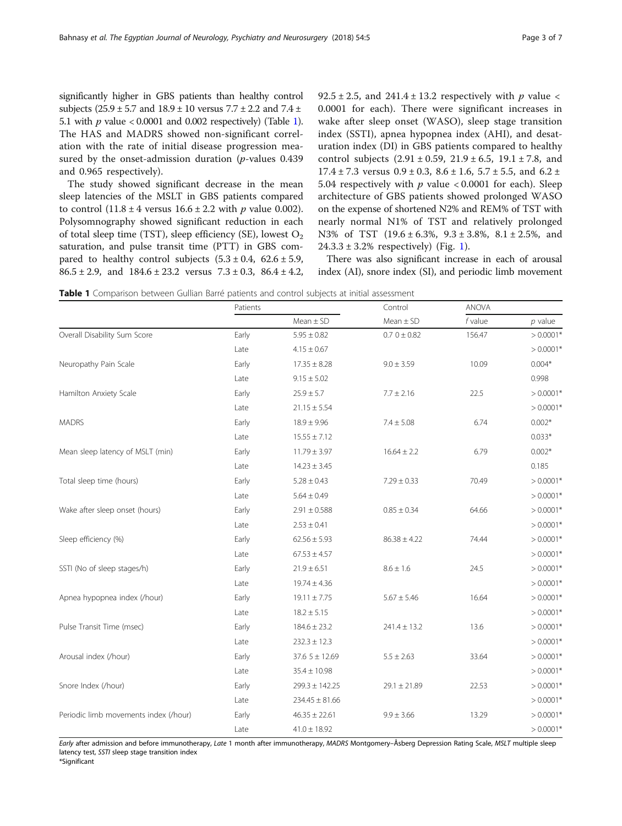<span id="page-2-0"></span>significantly higher in GBS patients than healthy control subjects ( $25.9 \pm 5.7$  and  $18.9 \pm 10$  versus  $7.7 \pm 2.2$  and  $7.4 \pm$ 5.1 with  $p$  value < 0.0001 and 0.002 respectively) (Table 1). The HAS and MADRS showed non-significant correlation with the rate of initial disease progression measured by the onset-admission duration (*p*-values 0.439 and 0.965 respectively).

The study showed significant decrease in the mean sleep latencies of the MSLT in GBS patients compared to control  $(11.8 \pm 4 \text{ versus } 16.6 \pm 2.2 \text{ with } p \text{ value } 0.002).$ Polysomnography showed significant reduction in each of total sleep time (TST), sleep efficiency (SE), lowest  $O_2$ saturation, and pulse transit time (PTT) in GBS compared to healthy control subjects  $(5.3 \pm 0.4, 62.6 \pm 5.9,$  $86.5 \pm 2.9$ , and  $184.6 \pm 23.2$  versus  $7.3 \pm 0.3$ ,  $86.4 \pm 4.2$ , 92.5  $\pm$  2.5, and 241.4  $\pm$  13.2 respectively with p value < 0.0001 for each). There were significant increases in wake after sleep onset (WASO), sleep stage transition index (SSTI), apnea hypopnea index (AHI), and desaturation index (DI) in GBS patients compared to healthy control subjects  $(2.91 \pm 0.59, 21.9 \pm 6.5, 19.1 \pm 7.8,$  and  $17.4 \pm 7.3$  versus  $0.9 \pm 0.3$ ,  $8.6 \pm 1.6$ ,  $5.7 \pm 5.5$ , and  $6.2 \pm 1.6$ 5.04 respectively with  $p$  value < 0.0001 for each). Sleep architecture of GBS patients showed prolonged WASO on the expense of shortened N2% and REM% of TST with nearly normal N1% of TST and relatively prolonged N3% of TST (19.6 ± 6.3%, 9.3 ± 3.8%, 8.1 ± 2.5%, and  $24.3.3 \pm 3.2\%$  respectively) (Fig. [1\)](#page-3-0).

There was also significant increase in each of arousal index (AI), snore index (SI), and periodic limb movement

Table 1 Comparison between Gullian Barré patients and control subjects at initial assessment

|                                       | Patients |                    | Control          | <b>ANOVA</b> |             |
|---------------------------------------|----------|--------------------|------------------|--------------|-------------|
|                                       |          | $Mean \pm SD$      | $Mean \pm SD$    | $f$ value    | $p$ value   |
| Overall Disability Sum Score          | Early    | $5.95 \pm 0.82$    | $0.70 \pm 0.82$  | 156.47       | $> 0.0001*$ |
|                                       | Late     | $4.15 \pm 0.67$    |                  |              | $> 0.0001*$ |
| Neuropathy Pain Scale                 | Early    | $17.35 \pm 8.28$   | $9.0 \pm 3.59$   | 10.09        | $0.004*$    |
|                                       | Late     | $9.15 \pm 5.02$    |                  |              | 0.998       |
| Hamilton Anxiety Scale                | Early    | $25.9 \pm 5.7$     | $7.7 \pm 2.16$   | 22.5         | $> 0.0001*$ |
|                                       | Late     | $21.15 \pm 5.54$   |                  |              | $> 0.0001*$ |
| <b>MADRS</b>                          | Early    | $18.9 \pm 9.96$    | $7.4 \pm 5.08$   | 6.74         | $0.002*$    |
|                                       | Late     | $15.55 \pm 7.12$   |                  |              | $0.033*$    |
| Mean sleep latency of MSLT (min)      | Early    | $11.79 \pm 3.97$   | $16.64 \pm 2.2$  | 6.79         | $0.002*$    |
|                                       | Late     | $14.23 \pm 3.45$   |                  |              | 0.185       |
| Total sleep time (hours)              | Early    | $5.28 \pm 0.43$    | $7.29 \pm 0.33$  | 70.49        | $> 0.0001*$ |
|                                       | Late     | $5.64 \pm 0.49$    |                  |              | $> 0.0001*$ |
| Wake after sleep onset (hours)        | Early    | $2.91 \pm 0.588$   | $0.85 \pm 0.34$  | 64.66        | $> 0.0001*$ |
|                                       | Late     | $2.53 \pm 0.41$    |                  |              | $> 0.0001*$ |
| Sleep efficiency (%)                  | Early    | $62.56 \pm 5.93$   | $86.38 \pm 4.22$ | 74.44        | $> 0.0001*$ |
|                                       | Late     | $67.53 \pm 4.57$   |                  |              | $> 0.0001*$ |
| SSTI (No of sleep stages/h)           | Early    | $21.9 \pm 6.51$    | $8.6 \pm 1.6$    | 24.5         | $> 0.0001*$ |
|                                       | Late     | $19.74 \pm 4.36$   |                  |              | $> 0.0001*$ |
| Apnea hypopnea index (/hour)          | Early    | $19.11 \pm 7.75$   | $5.67 \pm 5.46$  | 16.64        | $> 0.0001*$ |
|                                       | Late     | $18.2 \pm 5.15$    |                  |              | $> 0.0001*$ |
| Pulse Transit Time (msec)             | Early    | $184.6 \pm 23.2$   | $241.4 \pm 13.2$ | 13.6         | $> 0.0001*$ |
|                                       | Late     | $232.3 \pm 12.3$   |                  |              | $> 0.0001*$ |
| Arousal index (/hour)                 | Early    | $37.65 \pm 12.69$  | $5.5 \pm 2.63$   | 33.64        | $> 0.0001*$ |
|                                       | Late     | $35.4 \pm 10.98$   |                  |              | $> 0.0001*$ |
| Snore Index (/hour)                   | Early    | $299.3 \pm 142.25$ | $29.1 \pm 21.89$ | 22.53        | $> 0.0001*$ |
|                                       | Late     | $234.45 \pm 81.66$ |                  |              | $> 0.0001*$ |
| Periodic limb movements index (/hour) | Early    | $46.35 \pm 22.61$  | $9.9 \pm 3.66$   | 13.29        | $> 0.0001*$ |
|                                       | Late     | $41.0 \pm 18.92$   |                  |              | $> 0.0001*$ |

Early after admission and before immunotherapy, Late 1 month after immunotherapy, MADRS Montgomery–Åsberg Depression Rating Scale, MSLT multiple sleep latency test, SSTI sleep stage transition index

\*Significant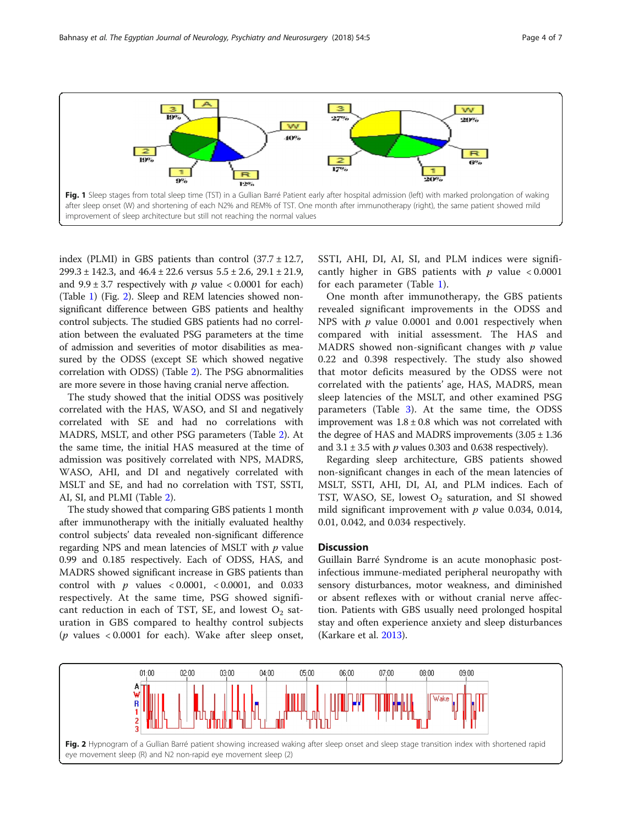<span id="page-3-0"></span>

index (PLMI) in GBS patients than control  $(37.7 \pm 12.7,$ 299.3 ± 142.3, and 46.4 ± 22.6 versus 5.5 ± 2.6, 29.1 ± 21.9, and  $9.9 \pm 3.7$  respectively with p value < 0.0001 for each) (Table [1](#page-2-0)) (Fig. 2). Sleep and REM latencies showed nonsignificant difference between GBS patients and healthy control subjects. The studied GBS patients had no correlation between the evaluated PSG parameters at the time of admission and severities of motor disabilities as measured by the ODSS (except SE which showed negative correlation with ODSS) (Table [2\)](#page-4-0). The PSG abnormalities are more severe in those having cranial nerve affection.

The study showed that the initial ODSS was positively correlated with the HAS, WASO, and SI and negatively correlated with SE and had no correlations with MADRS, MSLT, and other PSG parameters (Table [2](#page-4-0)). At the same time, the initial HAS measured at the time of admission was positively correlated with NPS, MADRS, WASO, AHI, and DI and negatively correlated with MSLT and SE, and had no correlation with TST, SSTI, AI, SI, and PLMI (Table [2\)](#page-4-0).

The study showed that comparing GBS patients 1 month after immunotherapy with the initially evaluated healthy control subjects' data revealed non-significant difference regarding NPS and mean latencies of MSLT with  $p$  value 0.99 and 0.185 respectively. Each of ODSS, HAS, and MADRS showed significant increase in GBS patients than control with  $p$  values < 0.0001, < 0.0001, and 0.033 respectively. At the same time, PSG showed significant reduction in each of TST, SE, and lowest  $O_2$  saturation in GBS compared to healthy control subjects ( $p$  values < 0.0001 for each). Wake after sleep onset,

SSTI, AHI, DI, AI, SI, and PLM indices were significantly higher in GBS patients with  $p$  value < 0.0001 for each parameter (Table [1](#page-2-0)).

One month after immunotherapy, the GBS patients revealed significant improvements in the ODSS and NPS with *p* value 0.0001 and 0.001 respectively when compared with initial assessment. The HAS and MADRS showed non-significant changes with  $p$  value 0.22 and 0.398 respectively. The study also showed that motor deficits measured by the ODSS were not correlated with the patients' age, HAS, MADRS, mean sleep latencies of the MSLT, and other examined PSG parameters (Table [3\)](#page-4-0). At the same time, the ODSS improvement was  $1.8 \pm 0.8$  which was not correlated with the degree of HAS and MADRS improvements  $(3.05 \pm 1.36)$ and  $3.1 \pm 3.5$  with p values 0.303 and 0.638 respectively).

Regarding sleep architecture, GBS patients showed non-significant changes in each of the mean latencies of MSLT, SSTI, AHI, DI, AI, and PLM indices. Each of TST, WASO, SE, lowest  $O_2$  saturation, and SI showed mild significant improvement with  $p$  value 0.034, 0.014, 0.01, 0.042, and 0.034 respectively.

## **Discussion**

Guillain Barré Syndrome is an acute monophasic postinfectious immune-mediated peripheral neuropathy with sensory disturbances, motor weakness, and diminished or absent reflexes with or without cranial nerve affection. Patients with GBS usually need prolonged hospital stay and often experience anxiety and sleep disturbances (Karkare et al. [2013](#page-6-0)).

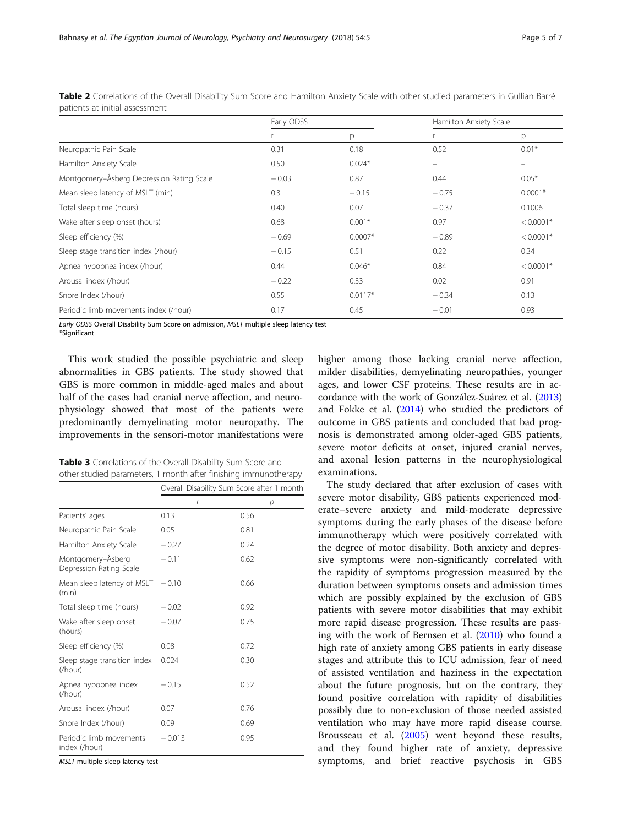|                                           | Early ODSS |           | Hamilton Anxiety Scale |             |
|-------------------------------------------|------------|-----------|------------------------|-------------|
|                                           |            | р         |                        | p           |
| Neuropathic Pain Scale                    | 0.31       | 0.18      | 0.52                   | $0.01*$     |
| Hamilton Anxiety Scale                    | 0.50       | $0.024*$  | -                      | -           |
| Montgomery-Åsberg Depression Rating Scale | $-0.03$    | 0.87      | 0.44                   | $0.05*$     |
| Mean sleep latency of MSLT (min)          | 0.3        | $-0.15$   | $-0.75$                | $0.0001*$   |
| Total sleep time (hours)                  | 0.40       | 0.07      | $-0.37$                | 0.1006      |
| Wake after sleep onset (hours)            | 0.68       | $0.001*$  | 0.97                   | $< 0.0001*$ |
| Sleep efficiency (%)                      | $-0.69$    | $0.0007*$ | $-0.89$                | $< 0.0001*$ |
| Sleep stage transition index (/hour)      | $-0.15$    | 0.51      | 0.22                   | 0.34        |
| Apnea hypopnea index (/hour)              | 0.44       | $0.046*$  | 0.84                   | $< 0.0001*$ |
| Arousal index (/hour)                     | $-0.22$    | 0.33      | 0.02                   | 0.91        |
| Snore Index (/hour)                       | 0.55       | $0.0117*$ | $-0.34$                | 0.13        |
| Periodic limb movements index (/hour)     | 0.17       | 0.45      | $-0.01$                | 0.93        |

<span id="page-4-0"></span>Table 2 Correlations of the Overall Disability Sum Score and Hamilton Anxiety Scale with other studied parameters in Gullian Barré patients at initial assessment

Early ODSS Overall Disability Sum Score on admission, MSLT multiple sleep latency test

\*Significant

This work studied the possible psychiatric and sleep abnormalities in GBS patients. The study showed that GBS is more common in middle-aged males and about half of the cases had cranial nerve affection, and neurophysiology showed that most of the patients were predominantly demyelinating motor neuropathy. The improvements in the sensori-motor manifestations were

| Table 3 Correlations of the Overall Disability Sum Score and    |  |  |
|-----------------------------------------------------------------|--|--|
| other studied parameters, 1 month after finishing immunotherapy |  |  |

|                                              | Overall Disability Sum Score after 1 month |      |  |
|----------------------------------------------|--------------------------------------------|------|--|
|                                              | r                                          | р    |  |
| Patients' ages                               | 0.13                                       | 0.56 |  |
| Neuropathic Pain Scale                       | 0.05                                       | 0.81 |  |
| Hamilton Anxiety Scale                       | $-0.27$                                    | 0.24 |  |
| Montgomery–Åsberg<br>Depression Rating Scale | $-0.11$                                    | 0.62 |  |
| Mean sleep latency of MSLT<br>(min)          | $-0.10$                                    | 0.66 |  |
| Total sleep time (hours)                     | $-0.02$                                    | 0.92 |  |
| Wake after sleep onset<br>(hours)            | $-0.07$                                    | 0.75 |  |
| Sleep efficiency (%)                         | 0.08                                       | 0.72 |  |
| Sleep stage transition index<br>(/hour)      | 0.024                                      | 0.30 |  |
| Apnea hypopnea index<br>(/hour)              | $-0.15$                                    | 0.52 |  |
| Arousal index (/hour)                        | 0.07                                       | 0.76 |  |
| Snore Index (/hour)                          | 0.09                                       | 0.69 |  |
| Periodic limb movements<br>index (/hour)     | $-0.013$                                   | 0.95 |  |

MSLT multiple sleep latency test

higher among those lacking cranial nerve affection, milder disabilities, demyelinating neuropathies, younger ages, and lower CSF proteins. These results are in accordance with the work of González-Suárez et al. ([2013](#page-6-0)) and Fokke et al. ([2014\)](#page-6-0) who studied the predictors of outcome in GBS patients and concluded that bad prognosis is demonstrated among older-aged GBS patients, severe motor deficits at onset, injured cranial nerves, and axonal lesion patterns in the neurophysiological examinations.

The study declared that after exclusion of cases with severe motor disability, GBS patients experienced moderate–severe anxiety and mild-moderate depressive symptoms during the early phases of the disease before immunotherapy which were positively correlated with the degree of motor disability. Both anxiety and depressive symptoms were non-significantly correlated with the rapidity of symptoms progression measured by the duration between symptoms onsets and admission times which are possibly explained by the exclusion of GBS patients with severe motor disabilities that may exhibit more rapid disease progression. These results are passing with the work of Bernsen et al. [\(2010\)](#page-6-0) who found a high rate of anxiety among GBS patients in early disease stages and attribute this to ICU admission, fear of need of assisted ventilation and haziness in the expectation about the future prognosis, but on the contrary, they found positive correlation with rapidity of disabilities possibly due to non-exclusion of those needed assisted ventilation who may have more rapid disease course. Brousseau et al. [\(2005](#page-6-0)) went beyond these results, and they found higher rate of anxiety, depressive symptoms, and brief reactive psychosis in GBS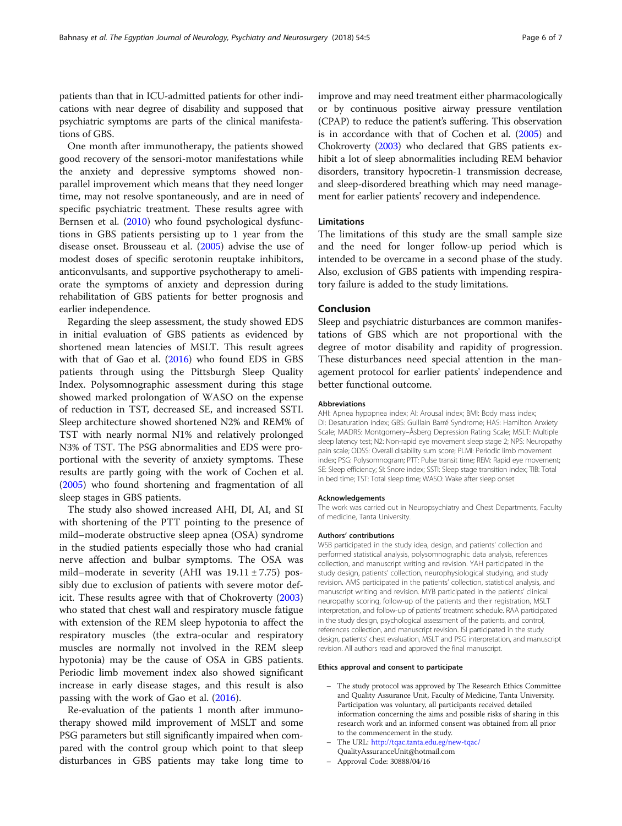patients than that in ICU-admitted patients for other indications with near degree of disability and supposed that psychiatric symptoms are parts of the clinical manifestations of GBS.

One month after immunotherapy, the patients showed good recovery of the sensori-motor manifestations while the anxiety and depressive symptoms showed nonparallel improvement which means that they need longer time, may not resolve spontaneously, and are in need of specific psychiatric treatment. These results agree with Bernsen et al. [\(2010\)](#page-6-0) who found psychological dysfunctions in GBS patients persisting up to 1 year from the disease onset. Brousseau et al. ([2005](#page-6-0)) advise the use of modest doses of specific serotonin reuptake inhibitors, anticonvulsants, and supportive psychotherapy to ameliorate the symptoms of anxiety and depression during rehabilitation of GBS patients for better prognosis and earlier independence.

Regarding the sleep assessment, the study showed EDS in initial evaluation of GBS patients as evidenced by shortened mean latencies of MSLT. This result agrees with that of Gao et al. [\(2016\)](#page-6-0) who found EDS in GBS patients through using the Pittsburgh Sleep Quality Index. Polysomnographic assessment during this stage showed marked prolongation of WASO on the expense of reduction in TST, decreased SE, and increased SSTI. Sleep architecture showed shortened N2% and REM% of TST with nearly normal N1% and relatively prolonged N3% of TST. The PSG abnormalities and EDS were proportional with the severity of anxiety symptoms. These results are partly going with the work of Cochen et al. ([2005](#page-6-0)) who found shortening and fragmentation of all sleep stages in GBS patients.

The study also showed increased AHI, DI, AI, and SI with shortening of the PTT pointing to the presence of mild–moderate obstructive sleep apnea (OSA) syndrome in the studied patients especially those who had cranial nerve affection and bulbar symptoms. The OSA was mild–moderate in severity (AHI was  $19.11 \pm 7.75$ ) possibly due to exclusion of patients with severe motor deficit. These results agree with that of Chokroverty ([2003](#page-6-0)) who stated that chest wall and respiratory muscle fatigue with extension of the REM sleep hypotonia to affect the respiratory muscles (the extra-ocular and respiratory muscles are normally not involved in the REM sleep hypotonia) may be the cause of OSA in GBS patients. Periodic limb movement index also showed significant increase in early disease stages, and this result is also passing with the work of Gao et al. [\(2016\)](#page-6-0).

Re-evaluation of the patients 1 month after immunotherapy showed mild improvement of MSLT and some PSG parameters but still significantly impaired when compared with the control group which point to that sleep disturbances in GBS patients may take long time to improve and may need treatment either pharmacologically or by continuous positive airway pressure ventilation (CPAP) to reduce the patient's suffering. This observation is in accordance with that of Cochen et al. ([2005\)](#page-6-0) and Chokroverty [\(2003](#page-6-0)) who declared that GBS patients exhibit a lot of sleep abnormalities including REM behavior disorders, transitory hypocretin-1 transmission decrease, and sleep-disordered breathing which may need management for earlier patients' recovery and independence.

#### **Limitations**

The limitations of this study are the small sample size and the need for longer follow-up period which is intended to be overcame in a second phase of the study. Also, exclusion of GBS patients with impending respiratory failure is added to the study limitations.

## Conclusion

Sleep and psychiatric disturbances are common manifestations of GBS which are not proportional with the degree of motor disability and rapidity of progression. These disturbances need special attention in the management protocol for earlier patients' independence and better functional outcome.

#### **Abbreviations**

AHI: Apnea hypopnea index; AI: Arousal index; BMI: Body mass index; DI: Desaturation index; GBS: Guillain Barré Syndrome; HAS: Hamilton Anxiety Scale; MADRS: Montgomery–Åsberg Depression Rating Scale; MSLT: Multiple sleep latency test; N2: Non-rapid eye movement sleep stage 2; NPS: Neuropathy pain scale; ODSS: Overall disability sum score; PLMI: Periodic limb movement index; PSG: Polysomnogram; PTT: Pulse transit time; REM: Rapid eye movement; SE: Sleep efficiency; SI: Snore index; SSTI: Sleep stage transition index; TIB: Total in bed time; TST: Total sleep time; WASO: Wake after sleep onset

#### Acknowledgements

The work was carried out in Neuropsychiatry and Chest Departments, Faculty of medicine, Tanta University.

#### Authors' contributions

WSB participated in the study idea, design, and patients' collection and performed statistical analysis, polysomnographic data analysis, references collection, and manuscript writing and revision. YAH participated in the study design, patients' collection, neurophysiological studying, and study revision. AMS participated in the patients' collection, statistical analysis, and manuscript writing and revision. MYB participated in the patients' clinical neuropathy scoring, follow-up of the patients and their registration, MSLT interpretation, and follow-up of patients' treatment schedule. RAA participated in the study design, psychological assessment of the patients, and control, references collection, and manuscript revision. ISI participated in the study design, patients' chest evaluation, MSLT and PSG interpretation, and manuscript revision. All authors read and approved the final manuscript.

#### Ethics approval and consent to participate

- The study protocol was approved by The Research Ethics Committee and Quality Assurance Unit, Faculty of Medicine, Tanta University. Participation was voluntary, all participants received detailed information concerning the aims and possible risks of sharing in this research work and an informed consent was obtained from all prior to the commencement in the study.
- The URL: <http://tqac.tanta.edu.eg/new-tqac/> QualityAssuranceUnit@hotmail.com
- Approval Code: 30888/04/16